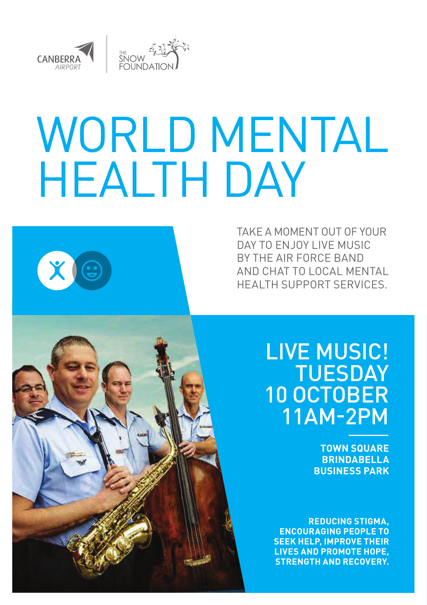

# WORLD MENTAL HEALTH DAY



LIVE MUSIC! **TUESDAY** 10 OCTOBER 11AM-2PM

> **TOWN SQUARE BRINDABELLA BUSINESS PARK**

**REDUCING STIGMA, ENCOURAGING PEOPLE TO SEEK HELP, IMPROVE THEIR LIVES AND PROMOTE HOPE, STRENGTH AND RECOVERY.** 



XE